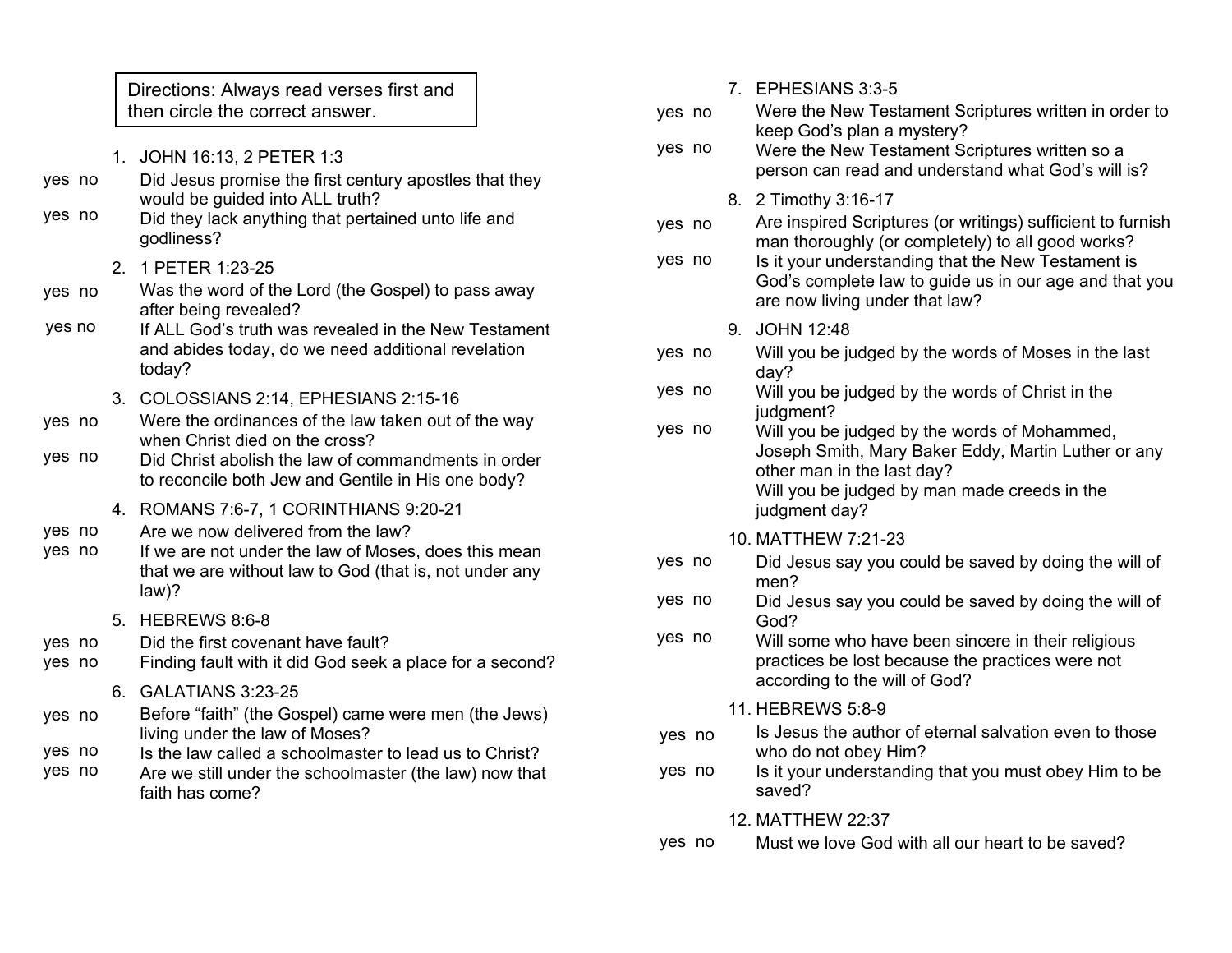- 1. JOHN 16:13, 2 PETER 1:3
- Did Jesus promise the first century apostles that they would be guided into ALL truth? yes no
- Did they lack anything that pertained unto life and godliness? yes no
	- 2. 1 PETER 1:23-25
- Was the word of the Lord (the Gospel) to pass away after being revealed? yes no
- If ALL God's truth was revealed in the New Testament and abides today, do we need additional revelation today? yes no
	- 3. COLOSSIANS 2:14, EPHESIANS 2:15-16
- Were the ordinances of the law taken out of the way when Christ died on the cross? yes no
- Did Christ abolish the law of commandments in order to reconcile both Jew and Gentile in His one body? yes no
	- 4. ROMANS 7:6-7, 1 CORINTHIANS 9:20-21
- Are we now delivered from the law? yes no
- If we are not under the law of Moses, does this mean that we are without law to God (that is, not under any law)? yes no
	- 5. HEBREWS 8:6-8
- Did the first covenant have fault? yes no
- Finding fault with it did God seek a place for a second? yes no
	- 6. GALATIANS 3:23-25
- Before "faith" (the Gospel) came were men (the Jews) living under the law of Moses? yes no
- Is the law called a schoolmaster to lead us to Christ? yes no
- Are we still under the schoolmaster (the law) now that faith has come? yes no

| Directions: Always read verses first and                                                                                                    |        | 7. EPHESIANS 3:3-5                                                                                                                                                                |
|---------------------------------------------------------------------------------------------------------------------------------------------|--------|-----------------------------------------------------------------------------------------------------------------------------------------------------------------------------------|
| then circle the correct answer.                                                                                                             | yes no | Were the New Testament Scriptures written in order to                                                                                                                             |
| JOHN 16:13, 2 PETER 1:3<br>Did Jesus promise the first century apostles that they                                                           | yes no | keep God's plan a mystery?<br>Were the New Testament Scriptures written so a<br>person can read and understand what God's will is?                                                |
| would be guided into ALL truth?<br>Did they lack anything that pertained unto life and<br>godliness?                                        | yes no | 8. 2 Timothy 3:16-17<br>Are inspired Scriptures (or writings) sufficient to furnish<br>man thoroughly (or completely) to all good works?                                          |
| 1 PETER 1:23-25<br>Was the word of the Lord (the Gospel) to pass away<br>after being revealed?                                              | yes no | Is it your understanding that the New Testament is<br>God's complete law to guide us in our age and that you<br>are now living under that law?                                    |
| If ALL God's truth was revealed in the New Testament                                                                                        |        | 9. JOHN 12:48                                                                                                                                                                     |
| and abides today, do we need additional revelation<br>today?                                                                                | yes no | Will you be judged by the words of Moses in the last<br>day?                                                                                                                      |
| COLOSSIANS 2:14, EPHESIANS 2:15-16<br>Were the ordinances of the law taken out of the way                                                   | yes no | Will you be judged by the words of Christ in the<br>judgment?                                                                                                                     |
| when Christ died on the cross?<br>Did Christ abolish the law of commandments in order<br>to reconcile both Jew and Gentile in His one body? | yes no | Will you be judged by the words of Mohammed,<br>Joseph Smith, Mary Baker Eddy, Martin Luther or any<br>other man in the last day?<br>Will you be judged by man made creeds in the |
| ROMANS 7:6-7, 1 CORINTHIANS 9:20-21                                                                                                         |        | judgment day?                                                                                                                                                                     |
| Are we now delivered from the law?                                                                                                          |        | 10. MATTHEW 7:21-23                                                                                                                                                               |
| If we are not under the law of Moses, does this mean<br>that we are without law to God (that is, not under any                              | yes no | Did Jesus say you could be saved by doing the will of<br>men?                                                                                                                     |
| $law$ ?                                                                                                                                     | yes no | Did Jesus say you could be saved by doing the will of                                                                                                                             |
| HEBREWS 8:6-8<br>Did the first covenant have fault?                                                                                         | yes no | God?<br>Will some who have been sincere in their religious                                                                                                                        |
| Finding fault with it did God seek a place for a second?                                                                                    |        | practices be lost because the practices were not<br>according to the will of God?                                                                                                 |
| GALATIANS 3:23-25                                                                                                                           |        | 11. HEBREWS 5:8-9                                                                                                                                                                 |
| Before "faith" (the Gospel) came were men (the Jews)<br>living under the law of Moses?                                                      | yes no | Is Jesus the author of eternal salvation even to those<br>who do not obey Him?                                                                                                    |
| Is the law called a schoolmaster to lead us to Christ?<br>Are we still under the schoolmaster (the law) now that<br>faith has come?         | yes no | Is it your understanding that you must obey Him to be<br>saved?                                                                                                                   |

- 12. MATTHEW 22:37
- Must we love God with all our heart to be saved? yes no